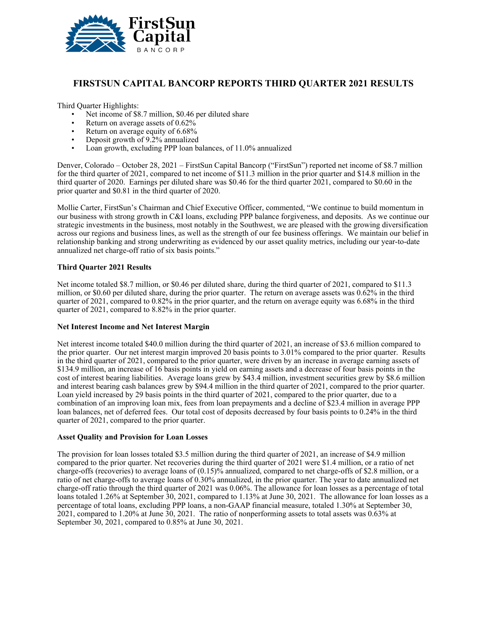

## **FIRSTSUN CAPITAL BANCORP REPORTS THIRD QUARTER 2021 RESULTS**

Third Quarter Highlights:

- Net income of \$8.7 million, \$0.46 per diluted share
- Return on average assets of  $0.62\%$
- Return on average equity of 6.68%
- Deposit growth of 9.2% annualized
- Loan growth, excluding PPP loan balances, of 11.0% annualized

Denver, Colorado – October 28, 2021 – FirstSun Capital Bancorp ("FirstSun") reported net income of \$8.7 million for the third quarter of 2021, compared to net income of \$11.3 million in the prior quarter and \$14.8 million in the third quarter of 2020. Earnings per diluted share was \$0.46 for the third quarter 2021, compared to \$0.60 in the prior quarter and \$0.81 in the third quarter of 2020.

Mollie Carter, FirstSun's Chairman and Chief Executive Officer, commented, "We continue to build momentum in our business with strong growth in C&I loans, excluding PPP balance forgiveness, and deposits. As we continue our strategic investments in the business, most notably in the Southwest, we are pleased with the growing diversification across our regions and business lines, as well as the strength of our fee business offerings. We maintain our belief in relationship banking and strong underwriting as evidenced by our asset quality metrics, including our year-to-date annualized net charge-off ratio of six basis points."

### **Third Quarter 2021 Results**

Net income totaled \$8.7 million, or \$0.46 per diluted share, during the third quarter of 2021, compared to \$11.3 million, or \$0.60 per diluted share, during the prior quarter. The return on average assets was 0.62% in the third quarter of 2021, compared to 0.82% in the prior quarter, and the return on average equity was 6.68% in the third quarter of 2021, compared to 8.82% in the prior quarter.

### **Net Interest Income and Net Interest Margin**

Net interest income totaled \$40.0 million during the third quarter of 2021, an increase of \$3.6 million compared to the prior quarter. Our net interest margin improved 20 basis points to 3.01% compared to the prior quarter. Results in the third quarter of 2021, compared to the prior quarter, were driven by an increase in average earning assets of \$134.9 million, an increase of 16 basis points in yield on earning assets and a decrease of four basis points in the cost of interest bearing liabilities. Average loans grew by \$43.4 million, investment securities grew by \$8.6 million and interest bearing cash balances grew by \$94.4 million in the third quarter of 2021, compared to the prior quarter. Loan yield increased by 29 basis points in the third quarter of 2021, compared to the prior quarter, due to a combination of an improving loan mix, fees from loan prepayments and a decline of \$23.4 million in average PPP loan balances, net of deferred fees. Our total cost of deposits decreased by four basis points to 0.24% in the third quarter of 2021, compared to the prior quarter.

### **Asset Quality and Provision for Loan Losses**

The provision for loan losses totaled \$3.5 million during the third quarter of 2021, an increase of \$4.9 million compared to the prior quarter. Net recoveries during the third quarter of 2021 were \$1.4 million, or a ratio of net charge-offs (recoveries) to average loans of (0.15)% annualized, compared to net charge-offs of \$2.8 million, or a ratio of net charge-offs to average loans of 0.30% annualized, in the prior quarter. The year to date annualized net charge-off ratio through the third quarter of 2021 was 0.06%. The allowance for loan losses as a percentage of total loans totaled 1.26% at September 30, 2021, compared to 1.13% at June 30, 2021. The allowance for loan losses as a percentage of total loans, excluding PPP loans, a non-GAAP financial measure, totaled 1.30% at September 30, 2021, compared to 1.20% at June 30, 2021. The ratio of nonperforming assets to total assets was 0.63% at September 30, 2021, compared to 0.85% at June 30, 2021.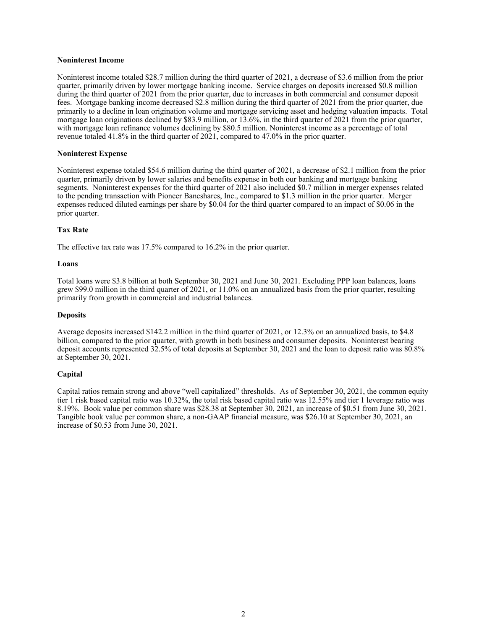#### **Noninterest Income**

Noninterest income totaled \$28.7 million during the third quarter of 2021, a decrease of \$3.6 million from the prior quarter, primarily driven by lower mortgage banking income. Service charges on deposits increased \$0.8 million during the third quarter of 2021 from the prior quarter, due to increases in both commercial and consumer deposit fees. Mortgage banking income decreased \$2.8 million during the third quarter of 2021 from the prior quarter, due primarily to a decline in loan origination volume and mortgage servicing asset and hedging valuation impacts. Total mortgage loan originations declined by \$83.9 million, or 13.6%, in the third quarter of 2021 from the prior quarter, with mortgage loan refinance volumes declining by \$80.5 million. Noninterest income as a percentage of total revenue totaled 41.8% in the third quarter of 2021, compared to 47.0% in the prior quarter.

#### **Noninterest Expense**

Noninterest expense totaled \$54.6 million during the third quarter of 2021, a decrease of \$2.1 million from the prior quarter, primarily driven by lower salaries and benefits expense in both our banking and mortgage banking segments. Noninterest expenses for the third quarter of 2021 also included \$0.7 million in merger expenses related to the pending transaction with Pioneer Bancshares, Inc., compared to \$1.3 million in the prior quarter. Merger expenses reduced diluted earnings per share by \$0.04 for the third quarter compared to an impact of \$0.06 in the prior quarter.

### **Tax Rate**

The effective tax rate was 17.5% compared to 16.2% in the prior quarter.

#### **Loans**

Total loans were \$3.8 billion at both September 30, 2021 and June 30, 2021. Excluding PPP loan balances, loans grew \$99.0 million in the third quarter of 2021, or 11.0% on an annualized basis from the prior quarter, resulting primarily from growth in commercial and industrial balances.

### **Deposits**

Average deposits increased \$142.2 million in the third quarter of 2021, or 12.3% on an annualized basis, to \$4.8 billion, compared to the prior quarter, with growth in both business and consumer deposits. Noninterest bearing deposit accounts represented 32.5% of total deposits at September 30, 2021 and the loan to deposit ratio was 80.8% at September 30, 2021.

### **Capital**

Capital ratios remain strong and above "well capitalized" thresholds. As of September 30, 2021, the common equity tier 1 risk based capital ratio was 10.32%, the total risk based capital ratio was 12.55% and tier 1 leverage ratio was 8.19%. Book value per common share was \$28.38 at September 30, 2021, an increase of \$0.51 from June 30, 2021. Tangible book value per common share, a non-GAAP financial measure, was \$26.10 at September 30, 2021, an increase of \$0.53 from June 30, 2021.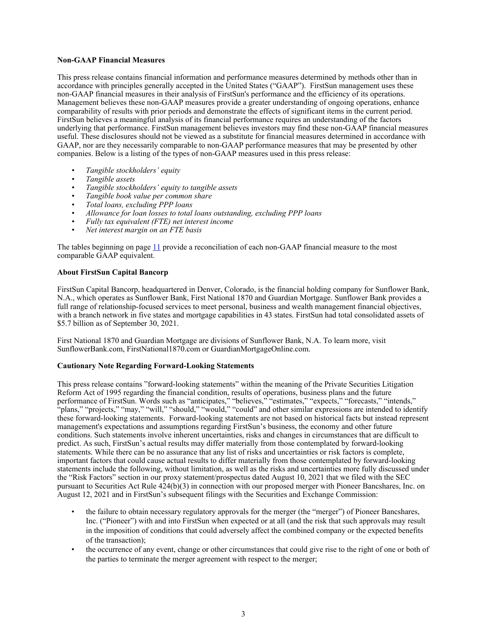### **Non-GAAP Financial Measures**

This press release contains financial information and performance measures determined by methods other than in accordance with principles generally accepted in the United States ("GAAP"). FirstSun management uses these non-GAAP financial measures in their analysis of FirstSun's performance and the efficiency of its operations. Management believes these non-GAAP measures provide a greater understanding of ongoing operations, enhance comparability of results with prior periods and demonstrate the effects of significant items in the current period. FirstSun believes a meaningful analysis of its financial performance requires an understanding of the factors underlying that performance. FirstSun management believes investors may find these non-GAAP financial measures useful. These disclosures should not be viewed as a substitute for financial measures determined in accordance with GAAP, nor are they necessarily comparable to non-GAAP performance measures that may be presented by other companies. Below is a listing of the types of non-GAAP measures used in this press release:

- *• Tangible stockholders' equity*
- *• Tangible assets*
- *• Tangible stockholders' equity to tangible assets*
- *• Tangible book value per common share*
- *• Total loans, excluding PPP loans*
- *• Allowance for loan losses to total loans outstanding, excluding PPP loans*
- *• Fully tax equivalent (FTE) net interest income*
- *• Net interest margin on an FTE basis*

The tables beginning on page [11](#page-10-0) provide a reconciliation of each non-GAAP financial measure to the most comparable GAAP equivalent.

### **About FirstSun Capital Bancorp**

FirstSun Capital Bancorp, headquartered in Denver, Colorado, is the financial holding company for Sunflower Bank, N.A., which operates as Sunflower Bank, First National 1870 and Guardian Mortgage. Sunflower Bank provides a full range of relationship-focused services to meet personal, business and wealth management financial objectives, with a branch network in five states and mortgage capabilities in 43 states. FirstSun had total consolidated assets of \$5.7 billion as of September 30, 2021.

First National 1870 and Guardian Mortgage are divisions of Sunflower Bank, N.A. To learn more, visit SunflowerBank.com, FirstNational1870.com or GuardianMortgageOnline.com.

### **Cautionary Note Regarding Forward-Looking Statements**

This press release contains "forward-looking statements" within the meaning of the Private Securities Litigation Reform Act of 1995 regarding the financial condition, results of operations, business plans and the future performance of FirstSun. Words such as "anticipates," "believes," "estimates," "expects," "forecasts," "intends," "plans," "projects," "may," "will," "should," "would," "could" and other similar expressions are intended to identify these forward-looking statements. Forward-looking statements are not based on historical facts but instead represent management's expectations and assumptions regarding FirstSun's business, the economy and other future conditions. Such statements involve inherent uncertainties, risks and changes in circumstances that are difficult to predict. As such, FirstSun's actual results may differ materially from those contemplated by forward-looking statements. While there can be no assurance that any list of risks and uncertainties or risk factors is complete, important factors that could cause actual results to differ materially from those contemplated by forward-looking statements include the following, without limitation, as well as the risks and uncertainties more fully discussed under the "Risk Factors" section in our proxy statement/prospectus dated August 10, 2021 that we filed with the SEC pursuant to Securities Act Rule 424(b)(3) in connection with our proposed merger with Pioneer Bancshares, Inc. on August 12, 2021 and in FirstSun's subsequent filings with the Securities and Exchange Commission:

- the failure to obtain necessary regulatory approvals for the merger (the "merger") of Pioneer Bancshares, Inc. ("Pioneer") with and into FirstSun when expected or at all (and the risk that such approvals may result in the imposition of conditions that could adversely affect the combined company or the expected benefits of the transaction);
- the occurrence of any event, change or other circumstances that could give rise to the right of one or both of the parties to terminate the merger agreement with respect to the merger;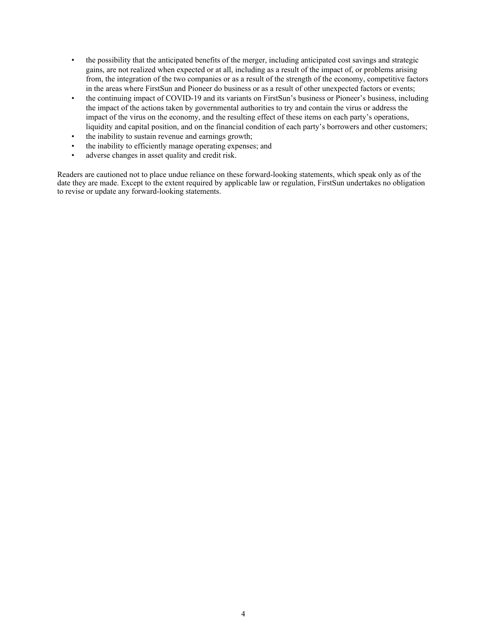- the possibility that the anticipated benefits of the merger, including anticipated cost savings and strategic gains, are not realized when expected or at all, including as a result of the impact of, or problems arising from, the integration of the two companies or as a result of the strength of the economy, competitive factors in the areas where FirstSun and Pioneer do business or as a result of other unexpected factors or events;
- the continuing impact of COVID-19 and its variants on FirstSun's business or Pioneer's business, including the impact of the actions taken by governmental authorities to try and contain the virus or address the impact of the virus on the economy, and the resulting effect of these items on each party's operations, liquidity and capital position, and on the financial condition of each party's borrowers and other customers;
- the inability to sustain revenue and earnings growth;
- the inability to efficiently manage operating expenses; and
- adverse changes in asset quality and credit risk.

Readers are cautioned not to place undue reliance on these forward-looking statements, which speak only as of the date they are made. Except to the extent required by applicable law or regulation, FirstSun undertakes no obligation to revise or update any forward-looking statements.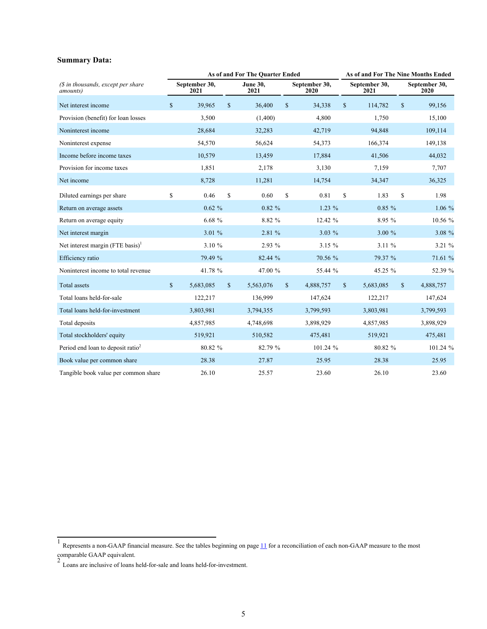# **Summary Data:**

|                                                         |              |                       |               | As of and For The Quarter Ended | As of and For The Nine Months Ended |                       |              |                       |              |                       |
|---------------------------------------------------------|--------------|-----------------------|---------------|---------------------------------|-------------------------------------|-----------------------|--------------|-----------------------|--------------|-----------------------|
| $(S$ in thousands, except per share<br><i>amounts</i> ) |              | September 30,<br>2021 |               | <b>June 30,</b><br>2021         |                                     | September 30,<br>2020 |              | September 30,<br>2021 |              | September 30,<br>2020 |
| Net interest income                                     | \$           | 39,965                | $\mathsf{\$}$ | 36,400                          | \$                                  | 34,338                | \$           | 114,782               | \$           | 99,156                |
| Provision (benefit) for loan losses                     |              | 3,500                 |               | (1,400)                         |                                     | 4,800                 |              | 1,750                 |              | 15,100                |
| Noninterest income                                      |              | 28,684                |               | 32,283                          |                                     | 42,719                |              | 94,848                |              | 109,114               |
| Noninterest expense                                     |              | 54,570                |               | 56,624                          |                                     | 54,373                |              | 166,374               |              | 149,138               |
| Income before income taxes                              |              | 10,579                |               | 13,459                          |                                     | 17,884                |              | 41,506                |              | 44,032                |
| Provision for income taxes                              |              | 1,851                 |               | 2,178                           |                                     | 3,130                 |              | 7,159                 |              | 7,707                 |
| Net income                                              |              | 8,728                 |               | 11,281                          |                                     | 14,754                |              | 34,347                |              | 36,325                |
| Diluted earnings per share                              | $\mathbf S$  | 0.46                  | $\mathbf S$   | 0.60                            | $\mathbf S$                         | 0.81                  | \$           | 1.83                  | $\mathbf S$  | 1.98                  |
| Return on average assets                                |              | $0.62 \%$             |               | $0.82 \%$                       |                                     | $1.23\%$              |              | 0.85%                 |              | 1.06%                 |
| Return on average equity                                |              | 6.68%                 |               | 8.82 %                          |                                     | 12.42 %               |              | 8.95 %                |              | 10.56 %               |
| Net interest margin                                     |              | 3.01 %                |               | 2.81 %                          |                                     | $3.03\%$              |              | 3.00%                 |              | 3.08 %                |
| Net interest margin $($ FTE basis $)$ <sup>1</sup>      |              | 3.10 %                |               | 2.93 %                          |                                     | 3.15 %                |              | 3.11%                 |              | 3.21 %                |
| Efficiency ratio                                        |              | 79.49 %               |               | 82.44 %                         |                                     | 70.56 %               |              | 79.37 %               |              | 71.61 %               |
| Noninterest income to total revenue                     |              | 41.78 %               |               | 47.00 %                         |                                     | 55.44 %               |              | 45.25 %               |              | 52.39 %               |
| <b>Total assets</b>                                     | $\mathbb{S}$ | 5,683,085             | $\mathbb{S}$  | 5,563,076                       | $\mathbf S$                         | 4,888,757             | $\mathbb{S}$ | 5,683,085             | $\mathbb{S}$ | 4,888,757             |
| Total loans held-for-sale                               |              | 122,217               |               | 136,999                         |                                     | 147,624               |              | 122,217               |              | 147,624               |
| Total loans held-for-investment                         |              | 3,803,981             |               | 3,794,355                       |                                     | 3,799,593             |              | 3,803,981             |              | 3,799,593             |
| Total deposits                                          |              | 4,857,985             |               | 4,748,698                       |                                     | 3,898,929             |              | 4,857,985             |              | 3,898,929             |
| Total stockholders' equity                              |              | 519,921               |               | 510,582                         |                                     | 475,481               |              | 519,921               |              | 475,481               |
| Period end loan to deposit ratio <sup>2</sup>           |              | 80.82 %               |               | 82.79 %                         |                                     | 101.24 %              |              | 80.82 %               |              | 101.24 %              |
| Book value per common share                             |              | 28.38                 |               | 27.87                           |                                     | 25.95                 |              | 28.38                 |              | 25.95                 |
| Tangible book value per common share                    |              | 26.10                 |               | 25.57                           |                                     | 23.60                 |              | 26.10                 |              | 23.60                 |

<sup>&</sup>lt;sup>1</sup> Represents a non-GAAP financial measure. See the tables beginning on page  $11$  for a reconciliation of each non-GAAP measure to the most

comparable GAAP equivalent. 2 Loans are inclusive of loans held-for-sale and loans held-for-investment.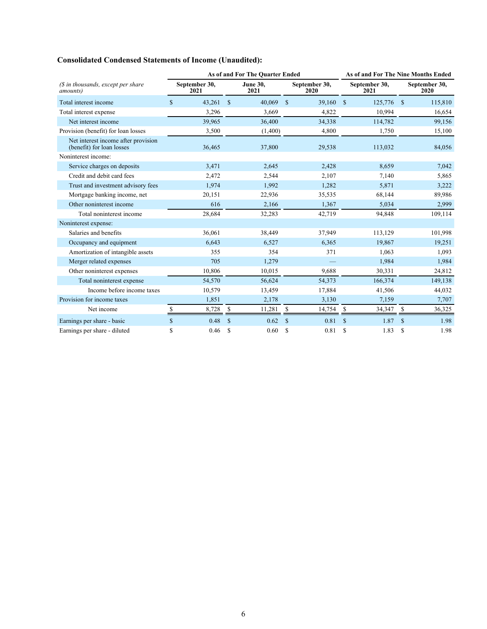# **Consolidated Condensed Statements of Income (Unaudited):**

|                                                                  | As of and For The Quarter Ended |                       |               |                         |              |                       |               | As of and For The Nine Months Ended |               |                       |  |
|------------------------------------------------------------------|---------------------------------|-----------------------|---------------|-------------------------|--------------|-----------------------|---------------|-------------------------------------|---------------|-----------------------|--|
| (\$ in thousands, except per share<br>amounts)                   |                                 | September 30,<br>2021 |               | <b>June 30,</b><br>2021 |              | September 30,<br>2020 |               | September 30,<br>2021               |               | September 30,<br>2020 |  |
| Total interest income                                            | $\mathbf{\$}$                   | 43,261                | $\mathbb{S}$  | 40,069                  | $\mathbb{S}$ | 39,160                | $\mathbb{S}$  | 125,776                             | <sup>S</sup>  | 115,810               |  |
| Total interest expense                                           |                                 | 3,296                 |               | 3,669                   |              | 4,822                 |               | 10,994                              |               | 16,654                |  |
| Net interest income                                              |                                 | 39,965                |               | 36,400                  |              | 34,338                |               | 114,782                             |               | 99,156                |  |
| Provision (benefit) for loan losses                              |                                 | 3,500                 |               | (1,400)                 |              | 4,800                 |               | 1,750                               |               | 15,100                |  |
| Net interest income after provision<br>(benefit) for loan losses |                                 | 36,465                |               | 37,800                  |              | 29,538                |               | 113,032                             |               | 84,056                |  |
| Noninterest income:                                              |                                 |                       |               |                         |              |                       |               |                                     |               |                       |  |
| Service charges on deposits                                      |                                 | 3,471                 |               | 2,645                   |              | 2,428                 |               | 8,659                               |               | 7,042                 |  |
| Credit and debit card fees                                       |                                 | 2,472                 |               | 2,544                   |              | 2,107                 |               | 7,140                               |               | 5,865                 |  |
| Trust and investment advisory fees                               |                                 | 1,974                 |               | 1,992                   |              | 1,282                 |               | 5,871                               |               | 3,222                 |  |
| Mortgage banking income, net                                     |                                 | 20,151                |               | 22,936                  |              | 35,535                |               | 68,144                              |               | 89,986                |  |
| Other noninterest income                                         |                                 | 616                   |               | 2,166                   |              | 1,367                 |               | 5,034                               |               | 2,999                 |  |
| Total noninterest income                                         |                                 | 28,684                |               | 32,283                  |              | 42,719                |               | 94,848                              |               | 109,114               |  |
| Noninterest expense:                                             |                                 |                       |               |                         |              |                       |               |                                     |               |                       |  |
| Salaries and benefits                                            |                                 | 36,061                |               | 38,449                  |              | 37,949                |               | 113,129                             |               | 101,998               |  |
| Occupancy and equipment                                          |                                 | 6,643                 |               | 6,527                   |              | 6,365                 |               | 19,867                              |               | 19,251                |  |
| Amortization of intangible assets                                |                                 | 355                   |               | 354                     |              | 371                   |               | 1,063                               |               | 1,093                 |  |
| Merger related expenses                                          |                                 | 705                   |               | 1,279                   |              |                       |               | 1,984                               |               | 1,984                 |  |
| Other noninterest expenses                                       |                                 | 10,806                |               | 10,015                  |              | 9,688                 |               | 30,331                              |               | 24,812                |  |
| Total noninterest expense                                        |                                 | 54,570                |               | 56,624                  |              | 54,373                |               | 166,374                             |               | 149,138               |  |
| Income before income taxes                                       |                                 | 10,579                |               | 13,459                  |              | 17,884                |               | 41,506                              |               | 44,032                |  |
| Provision for income taxes                                       |                                 | 1,851                 |               | 2,178                   |              | 3,130                 |               | 7,159                               |               | 7,707                 |  |
| Net income                                                       | S                               | 8,728                 | \$            | 11,281                  | \$           | 14,754                | \$            | 34,347                              | \$            | 36,325                |  |
| Earnings per share - basic                                       | $\mathbb{S}$                    | 0.48                  | $\mathbf S$   | 0.62                    | $\mathbf S$  | 0.81                  | $\mathbf S$   | 1.87                                | $\mathbf S$   | 1.98                  |  |
| Earnings per share - diluted                                     | \$                              | 0.46                  | <sup>\$</sup> | 0.60                    | \$           | 0.81                  | <sup>\$</sup> | 1.83                                | <sup>\$</sup> | 1.98                  |  |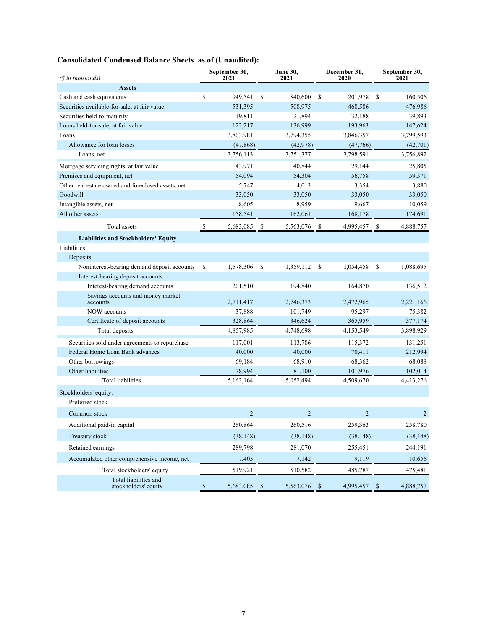# **Consolidated Condensed Balance Sheets as of (Unaudited):**

| (\$ in thousands)                                  |              | September 30,<br>2021 |              | <b>June 30,</b><br>2021 |                    | December 31,<br>2020 | September 30,<br>2020 |                |
|----------------------------------------------------|--------------|-----------------------|--------------|-------------------------|--------------------|----------------------|-----------------------|----------------|
| <b>Assets</b>                                      |              |                       |              |                         |                    |                      |                       |                |
| Cash and cash equivalents                          | \$           | 949,541               | \$           | 840,600                 | <sup>\$</sup>      | 201,978              | \$                    | 160,506        |
| Securities available-for-sale, at fair value       |              | 531,395               |              | 508,975                 |                    | 468,586              |                       | 476,986        |
| Securities held-to-maturity                        |              | 19,811                |              | 21,894                  |                    | 32,188               |                       | 39,893         |
| Loans held-for-sale, at fair value                 |              | 122,217               |              | 136,999                 |                    | 193,963              |                       | 147,624        |
| Loans                                              |              | 3,803,981             |              | 3,794,355               |                    | 3,846,357            |                       | 3,799,593      |
| Allowance for loan losses                          |              | (47, 868)             |              | (42, 978)               |                    | (47,766)             |                       | (42,701)       |
| Loans, net                                         |              | 3,756,113             |              | 3,751,377               |                    | 3,798,591            |                       | 3,756,892      |
| Mortgage servicing rights, at fair value           |              | 43,971                |              | 40,844                  |                    | 29,144               |                       | 25,805         |
| Premises and equipment, net                        |              | 54,094                |              | 54,304                  |                    | 56,758               |                       | 59,371         |
| Other real estate owned and foreclosed assets, net |              | 5,747                 |              | 4,013                   |                    | 3,354                |                       | 3,880          |
| Goodwill                                           |              | 33,050                |              | 33,050                  |                    | 33,050               |                       | 33,050         |
| Intangible assets, net                             |              | 8,605                 |              | 8,959                   |                    | 9,667                |                       | 10,059         |
| All other assets                                   |              | 158,541               |              | 162,061                 |                    | 168,178              |                       | 174,691        |
| Total assets                                       | -S           | 5,683,085             | S            | 5,563,076               |                    | 4,995,457            | S                     | 4,888,757      |
| <b>Liabilities and Stockholders' Equity</b>        |              |                       |              |                         |                    |                      |                       |                |
| Liabilities:                                       |              |                       |              |                         |                    |                      |                       |                |
| Deposits:                                          |              |                       |              |                         |                    |                      |                       |                |
| Noninterest-bearing demand deposit accounts        | \$           | 1,578,306             | \$           | 1,359,112               | -S                 | 1,054,458            | \$                    | 1,088,695      |
| Interest-bearing deposit accounts:                 |              |                       |              |                         |                    |                      |                       |                |
| Interest-bearing demand accounts                   |              | 201,510               |              | 194,840                 |                    | 164,870              |                       | 136,512        |
| Savings accounts and money market<br>accounts      |              | 2,711,417             |              | 2,746,373               |                    | 2,472,965            |                       | 2,221,166      |
| <b>NOW</b> accounts                                |              | 37,888                |              | 101,749                 |                    | 95,297               |                       | 75,382         |
| Certificate of deposit accounts                    |              | 328,864               |              | 346,624                 |                    | 365,959              |                       | 377,174        |
| Total deposits                                     |              | 4,857,985             |              | 4,748,698               |                    | 4,153,549            |                       | 3,898,929      |
| Securities sold under agreements to repurchase     |              | 117,001               |              | 113,786                 |                    | 115,372              |                       | 131,251        |
| Federal Home Loan Bank advances                    |              | 40,000                |              | 40,000                  |                    | 70,411               |                       | 212,994        |
| Other borrowings                                   |              | 69,184                |              | 68,910                  |                    | 68,362               |                       | 68,088         |
| Other liabilities                                  |              | 78,994                |              | 81,100                  |                    | 101,976              |                       | 102,014        |
| Total liabilities                                  |              | 5,163,164             |              | 5,052,494               |                    | 4,509,670            |                       | 4,413,276      |
| Stockholders' equity:                              |              |                       |              |                         |                    |                      |                       |                |
| Preferred stock                                    |              |                       |              |                         |                    |                      |                       |                |
| Common stock                                       |              | $\overline{2}$        |              | $\overline{2}$          |                    | $\overline{2}$       |                       | $\overline{2}$ |
| Additional paid-in capital                         |              | 260,864               |              | 260,516                 |                    | 259,363              |                       | 258,780        |
| Treasury stock                                     |              | (38, 148)             |              | (38, 148)               |                    | (38, 148)            |                       | (38, 148)      |
| Retained earnings                                  |              | 289,798               |              | 281,070                 |                    | 255,451              |                       | 244,191        |
| Accumulated other comprehensive income, net        |              | 7,405                 |              | 7,142                   |                    | 9,119                |                       | 10,656         |
| Total stockholders' equity                         |              | 519,921               |              | 510,582                 |                    | 485,787              |                       | 475,481        |
| Total liabilities and<br>stockholders' equity      | $\mathbb{S}$ | 5,683,085             | $\mathbb{S}$ | 5,563,076               | $\mathbf{\hat{s}}$ | 4,995,457 \$         |                       | 4,888,757      |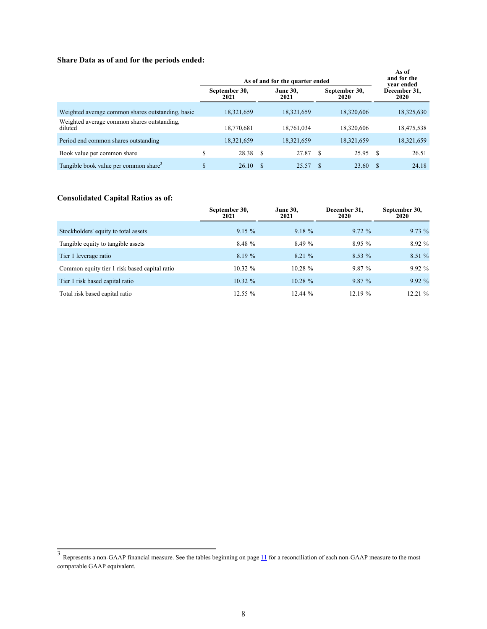# **Share Data as of and for the periods ended:**

|                                                        |                       | As of and for the quarter ended |                         |      |                       |   |                                    |  |  |  |
|--------------------------------------------------------|-----------------------|---------------------------------|-------------------------|------|-----------------------|---|------------------------------------|--|--|--|
|                                                        | September 30,<br>2021 |                                 | <b>June 30,</b><br>2021 |      | September 30,<br>2020 |   | vear ended<br>December 31.<br>2020 |  |  |  |
| Weighted average common shares outstanding, basic      | 18,321,659            |                                 | 18,321,659              |      | 18,320,606            |   | 18,325,630                         |  |  |  |
| Weighted average common shares outstanding.<br>diluted | 18,770,681            |                                 | 18,761,034              |      | 18,320,606            |   | 18,475,538                         |  |  |  |
| Period end common shares outstanding                   | 18,321,659            |                                 | 18,321,659              |      | 18,321,659            |   | 18,321,659                         |  |  |  |
| Book value per common share                            | S                     | 28.38 \$                        | 27.87                   | - \$ | 25.95                 | S | 26.51                              |  |  |  |
| Tangible book value per common share <sup>3</sup>      | \$                    | 26.10<br>S                      | 25.57                   |      | 23.60                 | S | 24.18                              |  |  |  |

# **Consolidated Capital Ratios as of:**

|                                               | September 30,<br>2021 | <b>June 30,</b><br>2021 | December 31,<br>2020 | September 30,<br>2020 |
|-----------------------------------------------|-----------------------|-------------------------|----------------------|-----------------------|
| Stockholders' equity to total assets          | 9.15%                 | 9.18%                   | 9.72%                | 9.73%                 |
| Tangible equity to tangible assets            | 8.48 %                | 8.49 %                  | 8.95%                | 8.92%                 |
| Tier 1 leverage ratio                         | 8.19%                 | 8.21 %                  | $8.53\%$             | 8.51 %                |
| Common equity tier 1 risk based capital ratio | $10.32 \%$            | $10.28 \%$              | 9.87 %               | 9.92%                 |
| Tier 1 risk based capital ratio               | $10.32 \%$            | $10.28 \%$              | 9.87%                | 9.92%                 |
| Total risk based capital ratio                | 12.55%                | 12.44%                  | 12.19 %              | 12.21%                |

 $3$  Represents a non-GAAP financial measure. See the tables beginning on page  $11$  for a reconciliation of each non-GAAP measure to the most comparable GAAP equivalent.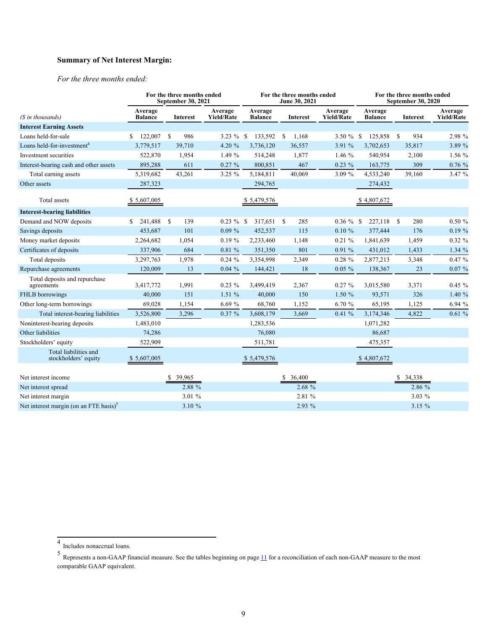# **Summary of Net Interest Margin:**

*For the three months ended:*

|                                                    |                           | For the three months ended<br>September 30, 2021 |                              | For the three months ended<br>June 30, 2021 |                        |                              |                           | For the three months ended<br><b>September 30, 2020</b> |                              |  |
|----------------------------------------------------|---------------------------|--------------------------------------------------|------------------------------|---------------------------------------------|------------------------|------------------------------|---------------------------|---------------------------------------------------------|------------------------------|--|
| (\$ in thousands)                                  | Average<br><b>Balance</b> | <b>Interest</b>                                  | Average<br><b>Yield/Rate</b> | Average<br><b>Balance</b>                   | Interest               | Average<br><b>Yield/Rate</b> | Average<br><b>Balance</b> | <b>Interest</b>                                         | Average<br><b>Yield/Rate</b> |  |
| <b>Interest Earning Assets</b>                     |                           |                                                  |                              |                                             |                        |                              |                           |                                                         |                              |  |
| Loans held-for-sale                                | 122,007 \$                | 986                                              | 3.23 % \$                    | 133,592                                     | <sup>\$</sup><br>1,168 | 3.50 $%$ \$                  | 125,858                   | 934<br><sup>\$</sup>                                    | 2.98 %                       |  |
| Loans held-for-investment <sup>4</sup>             | 3,779,517                 | 39,710                                           | 4.20 %                       | 3,736,120                                   | 36,557                 | 3.91 %                       | 3,702,653                 | 35,817                                                  | 3.89 %                       |  |
| Investment securities                              | 522,870                   | 1,954                                            | 1.49 %                       | 514,248                                     | 1,877                  | 1.46 %                       | 540,954                   | 2,100                                                   | 1.56 %                       |  |
| Interest-bearing cash and other assets             | 895,288                   | 611                                              | $0.27 \%$                    | 800,851                                     | 467                    | $0.23\%$                     | 163,775                   | 309                                                     | 0.76%                        |  |
| Total earning assets                               | 5,319,682                 | 43,261                                           | $3.25 \%$                    | 5,184,811                                   | 40,069                 | 3.09 %                       | 4,533,240                 | 39,160                                                  | 3.47 %                       |  |
| Other assets                                       | 287,323                   |                                                  |                              | 294,765                                     |                        |                              | 274,432                   |                                                         |                              |  |
| Total assets                                       | \$5,607,005               |                                                  |                              | \$5,479,576                                 |                        |                              | \$4,807,672               |                                                         |                              |  |
| <b>Interest-bearing liabilities</b>                |                           |                                                  |                              |                                             |                        |                              |                           |                                                         |                              |  |
| Demand and NOW deposits                            | 241,488<br>S.             | <sup>\$</sup><br>139                             | $0.23 \%$ \$                 | 317,651 \$                                  | 285                    | $0.36 \%$ \$                 | 227,118                   | 280<br><sup>\$</sup>                                    | 0.50 %                       |  |
| Savings deposits                                   | 453,687                   | 101                                              | $0.09\%$                     | 452,537                                     | 115                    | $0.10 \%$                    | 377,444                   | 176                                                     | 0.19%                        |  |
| Money market deposits                              | 2,264,682                 | 1,054                                            | $0.19 \%$                    | 2,233,460                                   | 1,148                  | $0.21 \%$                    | 1,841,639                 | 1,459                                                   | $0.32 \%$                    |  |
| Certificates of deposits                           | 337,906                   | 684                                              | 0.81%                        | 351,350                                     | 801                    | 0.91%                        | 431,012                   | 1,433                                                   | 1.34%                        |  |
| Total deposits                                     | 3,297,763                 | 1,978                                            | $0.24 \%$                    | 3,354,998                                   | 2,349                  | $0.28 \%$                    | 2,877,213                 | 3,348                                                   | 0.47%                        |  |
| Repurchase agreements                              | 120,009                   | 13                                               | 0.04%                        | 144,421                                     | 18                     | $0.05 \%$                    | 138,367                   | 23                                                      | $0.07 \%$                    |  |
| Total deposits and repurchase<br>agreements        | 3,417,772                 | 1,991                                            | $0.23\%$                     | 3,499,419                                   | 2,367                  | $0.27 \%$                    | 3,015,580                 | 3,371                                                   | $0.45 \%$                    |  |
| FHLB borrowings                                    | 40,000                    | 151                                              | 1.51%                        | 40,000                                      | 150                    | 1.50 %                       | 93,571                    | 326                                                     | 1.40%                        |  |
| Other long-term borrowings                         | 69,028                    | 1,154                                            | 6.69%                        | 68,760                                      | 1,152                  | 6.70 %                       | 65,195                    | 1,125                                                   | 6.94 %                       |  |
| Total interest-bearing liabilities                 | 3,526,800                 | 3,296                                            | $0.37 \%$                    | 3,608,179                                   | 3,669                  | 0.41%                        | 3,174,346                 | 4,822                                                   | 0.61%                        |  |
| Noninterest-bearing deposits                       | 1,483,010                 |                                                  |                              | 1,283,536                                   |                        |                              | 1,071,282                 |                                                         |                              |  |
| Other liabilities                                  | 74,286                    |                                                  |                              | 76,080                                      |                        |                              | 86,687                    |                                                         |                              |  |
| Stockholders' equity                               | 522,909                   |                                                  |                              | 511,781                                     |                        |                              | 475,357                   |                                                         |                              |  |
| Total liabilities and<br>stockholders' equity      | \$5,607,005               |                                                  |                              | \$5,479,576                                 |                        |                              | \$4,807,672               |                                                         |                              |  |
| Net interest income                                |                           | 39,965                                           |                              |                                             | 36,400                 |                              |                           | 34,338                                                  |                              |  |
| Net interest spread                                |                           | 2.88 %                                           |                              |                                             | 2.68%                  |                              |                           | 2.86 %                                                  |                              |  |
| Net interest margin                                |                           | 3.01 %                                           |                              |                                             | 2.81 %                 |                              |                           | $3.03\%$                                                |                              |  |
| Net interest margin (on an FTE basis) <sup>5</sup> |                           | 3.10 %                                           |                              |                                             | 2.93 %                 |                              |                           | 3.15 %                                                  |                              |  |

<sup>4</sup> Includes nonaccrual loans.

 $^5$  Represents a non-GAAP financial measure. See the tables beginning on page  $11$  for a reconciliation of each non-GAAP measure to the most comparable GAAP equivalent.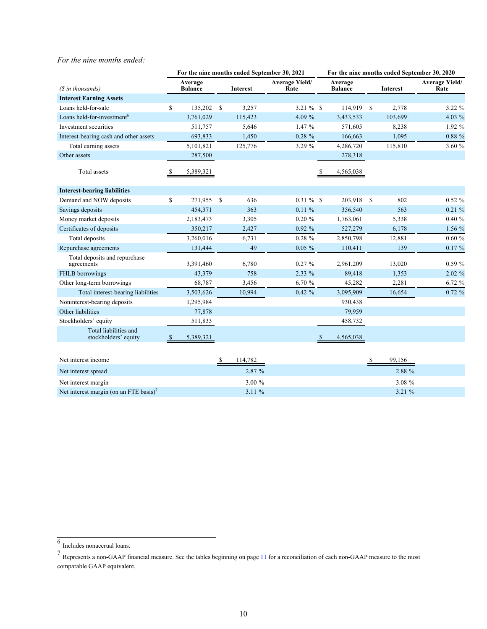### *For the nine months ended:*

|                                               |              |                           |               |                 | For the nine months ended September 30, 2021 |              | For the nine months ended September 30, 2020 |    |                 |                               |  |  |  |  |  |
|-----------------------------------------------|--------------|---------------------------|---------------|-----------------|----------------------------------------------|--------------|----------------------------------------------|----|-----------------|-------------------------------|--|--|--|--|--|
| (\$ in thousands)                             |              | Average<br><b>Balance</b> |               | <b>Interest</b> | <b>Average Yield/</b><br>Rate                |              | Average<br><b>Balance</b>                    |    | <b>Interest</b> | <b>Average Yield/</b><br>Rate |  |  |  |  |  |
| <b>Interest Earning Assets</b>                |              |                           |               |                 |                                              |              |                                              |    |                 |                               |  |  |  |  |  |
| Loans held-for-sale                           | \$           | 135,202                   | <sup>\$</sup> | 3,257           | $3.21 \%$ \$                                 |              | 114,919                                      | S  | 2,778           | 3.22 %                        |  |  |  |  |  |
| Loans held-for-investment <sup>6</sup>        |              | 3,761,029                 |               | 115,423         | 4.09 %                                       |              | 3,433,533                                    |    | 103,699         | 4.03 %                        |  |  |  |  |  |
| Investment securities                         |              | 511,757                   |               | 5,646           | 1.47%                                        |              | 571,605                                      |    | 8,238           | $1.92\%$                      |  |  |  |  |  |
| Interest-bearing cash and other assets        |              | 693,833                   |               | 1,450           | $0.28 \%$                                    |              | 166,663                                      |    | 1,095           | 0.88%                         |  |  |  |  |  |
| Total earning assets                          |              | 5,101,821                 |               | 125,776         | 3.29 %                                       |              | 4,286,720                                    |    | 115,810         | 3.60 %                        |  |  |  |  |  |
| Other assets                                  |              | 287,500                   |               |                 |                                              |              | 278,318                                      |    |                 |                               |  |  |  |  |  |
| Total assets                                  | <sup>8</sup> | 5,389,321                 |               |                 |                                              | S            | 4,565,038                                    |    |                 |                               |  |  |  |  |  |
| <b>Interest-bearing liabilities</b>           |              |                           |               |                 |                                              |              |                                              |    |                 |                               |  |  |  |  |  |
| Demand and NOW deposits                       | \$           | 271,955 \$                |               | 636             | $0.31 \%$ \$                                 |              | 203,918                                      | \$ | 802             | $0.52 \%$                     |  |  |  |  |  |
| Savings deposits                              |              | 454,371                   |               | 363             | 0.11%                                        |              | 356,540                                      |    | 563             | 0.21%                         |  |  |  |  |  |
| Money market deposits                         |              | 2,183,473                 |               | 3,305           | $0.20 \%$                                    |              | 1,763,061                                    |    | 5,338           | 0.40%                         |  |  |  |  |  |
| Certificates of deposits                      |              | 350,217                   |               | 2,427           | 0.92%                                        |              | 527,279                                      |    | 6,178           | 1.56 %                        |  |  |  |  |  |
| Total deposits                                |              | 3,260,016                 |               | 6,731           | $0.28 \%$                                    |              | 2,850,798                                    |    | 12,881          | 0.60%                         |  |  |  |  |  |
| Repurchase agreements                         |              | 131,444                   |               | 49              | $0.05 \%$                                    |              | 110,411                                      |    | 139             | 0.17%                         |  |  |  |  |  |
| Total deposits and repurchase<br>agreements   |              | 3,391,460                 |               | 6,780           | $0.27 \%$                                    |              | 2,961,209                                    |    | 13,020          | 0.59%                         |  |  |  |  |  |
| FHLB borrowings                               |              | 43,379                    |               | 758             | 2.33 %                                       |              | 89,418                                       |    | 1,353           | $2.02\%$                      |  |  |  |  |  |
| Other long-term borrowings                    |              | 68,787                    |               | 3,456           | 6.70 %                                       |              | 45,282                                       |    | 2,281           | 6.72%                         |  |  |  |  |  |
| Total interest-bearing liabilities            |              | 3,503,626                 |               | 10,994          | $0.42 \%$                                    |              | 3,095,909                                    |    | 16,654          | 0.72%                         |  |  |  |  |  |
| Noninterest-bearing deposits                  |              | 1,295,984                 |               |                 |                                              |              | 930,438                                      |    |                 |                               |  |  |  |  |  |
| Other liabilities                             |              | 77,878                    |               |                 |                                              |              | 79,959                                       |    |                 |                               |  |  |  |  |  |
| Stockholders' equity                          |              | 511,833                   |               |                 |                                              |              | 458,732                                      |    |                 |                               |  |  |  |  |  |
| Total liabilities and<br>stockholders' equity |              | 5,389,321                 |               |                 |                                              | <sup>S</sup> | 4,565,038                                    |    |                 |                               |  |  |  |  |  |
| Net interest income                           |              |                           | ¢             | 114.782         |                                              |              |                                              | ¢  | 00 156          |                               |  |  |  |  |  |

| Net interest income                                                  | 114.782  | 99.156    |
|----------------------------------------------------------------------|----------|-----------|
| Net interest spread                                                  | $2.87\%$ | 2.88 %    |
| Net interest margin                                                  | $3.00\%$ | $3.08\%$  |
| Net interest margin (on an FTE basis) <sup><math>\prime</math></sup> | $3.11\%$ | $3.21 \%$ |

<sup>6</sup> Includes nonaccrual loans.

 $^7$  Represents a non-GAAP financial measure. See the tables beginning on page  $11$  for a reconciliation of each non-GAAP measure to the most comparable GAAP equivalent.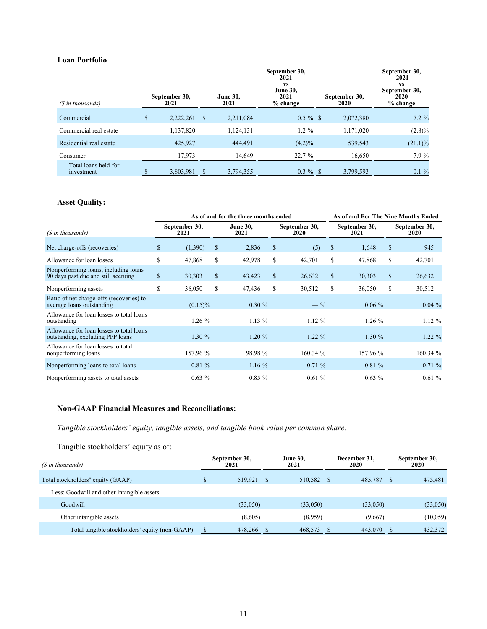### <span id="page-10-0"></span>**Loan Portfolio**

| (\$ in thousands)                   | September 30,<br>2021 | <b>June 30,</b><br>2021 | September 30,<br>2021<br><b>VS</b><br><b>June 30,</b><br>2021<br>% change | September 30,<br>2020 | September 30,<br>2021<br><b>VS</b><br>September 30,<br>2020<br>% change |
|-------------------------------------|-----------------------|-------------------------|---------------------------------------------------------------------------|-----------------------|-------------------------------------------------------------------------|
| Commercial                          | \$<br>2,222,261       | \$<br>2,211,084         | $0.5 \%$ \$                                                               | 2,072,380             | $7.2\%$                                                                 |
| Commercial real estate              | 1,137,820             | 1,124,131               | $1.2\%$                                                                   | 1,171,020             | $(2.8)\%$                                                               |
| Residential real estate             | 425,927               | 444,491                 | $(4.2)\%$                                                                 | 539,543               | $(21.1)\%$                                                              |
| Consumer                            | 17,973                | 14,649                  | 22.7 %                                                                    | 16,650                | 7.9%                                                                    |
| Total loans held-for-<br>investment | 3,803,981             | 3,794,355               | $0.3 \%$ \$                                                               | 3,799,593             | $0.1 \%$                                                                |

### **Asset Quality:**

|                                                                              |                       |            | As of and for the three months ended |    | As of and For The Nine Months Ended |              |                       |              |                              |
|------------------------------------------------------------------------------|-----------------------|------------|--------------------------------------|----|-------------------------------------|--------------|-----------------------|--------------|------------------------------|
| (\$ in thousands)                                                            | September 30,<br>2021 |            | <b>June 30,</b><br>2021              |    | September 30,<br>2020               |              | September 30,<br>2021 |              | September 30,<br><b>2020</b> |
| Net charge-offs (recoveries)                                                 | \$                    | (1,390)    | \$<br>2,836                          | \$ | (5)                                 | $\mathbb{S}$ | 1,648                 | $\mathbb{S}$ | 945                          |
| Allowance for loan losses                                                    | S                     | 47,868     | \$<br>42,978                         | \$ | 42,701                              | \$           | 47,868                | S            | 42,701                       |
| Nonperforming loans, including loans<br>90 days past due and still accruing  | \$                    | 30,303     | \$<br>43,423                         | \$ | 26,632                              | \$           | 30,303                | \$           | 26,632                       |
| Nonperforming assets                                                         | \$                    | 36,050     | \$<br>47,436                         | \$ | 30,512                              | \$           | 36,050                | \$           | 30,512                       |
| Ratio of net charge-offs (recoveries) to<br>average loans outstanding        |                       | $(0.15)\%$ | $0.30 \%$                            |    | $-\frac{9}{6}$                      |              | $0.06\%$              |              | $0.04\%$                     |
| Allowance for loan losses to total loans<br>outstanding                      |                       | $1.26\%$   | $1.13\%$                             |    | 1.12%                               |              | $1.26\%$              |              | 1.12%                        |
| Allowance for loan losses to total loans<br>outstanding, excluding PPP loans |                       | $1.30\%$   | $1.20 \%$                            |    | $1.22 \%$                           |              | 1.30%                 |              | $1.22 \%$                    |
| Allowance for loan losses to total<br>nonperforming loans                    |                       | 157.96 %   | 98.98 %                              |    | 160.34 %                            |              | 157.96 %              |              | 160.34 %                     |
| Nonperforming loans to total loans                                           |                       | 0.81%      | $1.16\%$                             |    | 0.71%                               |              | 0.81%                 |              | 0.71%                        |
| Nonperforming assets to total assets                                         |                       | $0.63\%$   | $0.85 \%$                            |    | 0.61%                               |              | $0.63\%$              |              | 0.61%                        |

## **Non-GAAP Financial Measures and Reconciliations:**

*Tangible stockholders' equity, tangible assets, and tangible book value per common share:*

# Tangible stockholders' equity as of:

| (\$ in thousands)                              |    | September 30,<br>2021 | <b>June 30,</b><br>2021 |            | December 31.<br>2020 |          |   | September 30,<br>2020 |
|------------------------------------------------|----|-----------------------|-------------------------|------------|----------------------|----------|---|-----------------------|
| Total stockholders" equity (GAAP)              | \$ | 519.921               |                         | 510,582 \$ |                      | 485,787  | S | 475,481               |
| Less: Goodwill and other intangible assets     |    |                       |                         |            |                      |          |   |                       |
| Goodwill                                       |    | (33,050)              |                         | (33,050)   |                      | (33,050) |   | (33,050)              |
| Other intangible assets                        |    | (8,605)               |                         | (8.959)    |                      | (9,667)  |   | (10, 059)             |
| Total tangible stockholders' equity (non-GAAP) |    | 478,266               |                         | 468,573    |                      | 443,070  |   | 432,372               |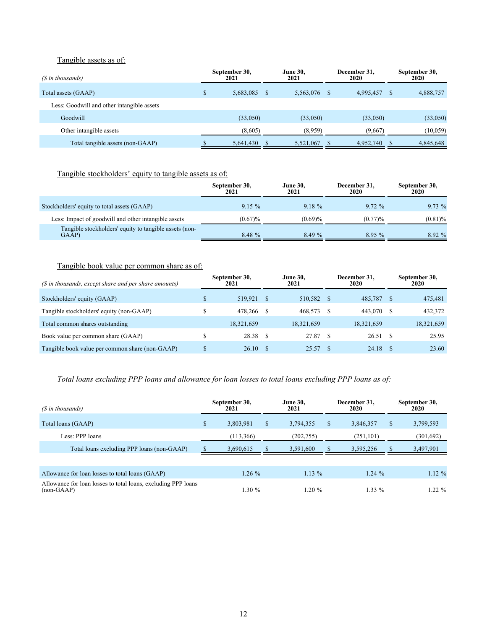### Tangible assets as of:

| (\$ in thousands)                          | September 30,<br>2021 |      | <b>June 30,</b><br>2021 | December 31,<br>2020 |              | September 30,<br>2020 |
|--------------------------------------------|-----------------------|------|-------------------------|----------------------|--------------|-----------------------|
| Total assets (GAAP)                        | \$<br>5,683,085       | - \$ | 5,563,076               | 4,995,457            | <sup>8</sup> | 4,888,757             |
| Less: Goodwill and other intangible assets |                       |      |                         |                      |              |                       |
| Goodwill                                   | (33,050)              |      | (33,050)                | (33,050)             |              | (33,050)              |
| Other intangible assets                    | (8,605)               |      | (8.959)                 | (9,667)              |              | (10, 059)             |
| Total tangible assets (non-GAAP)           | 5,641,430             |      | 5,521,067               | 4,952,740            |              | 4,845,648             |

# Tangible stockholders' equity to tangible assets as of:

|                                                                 | September 30,<br>2021 | <b>June 30,</b><br>2021 | December 31,<br>2020 | September 30,<br>2020 |
|-----------------------------------------------------------------|-----------------------|-------------------------|----------------------|-----------------------|
| Stockholders' equity to total assets (GAAP)                     | $9.15 \%$             | $9.18 \%$               | $9.72 \%$            | $9.73\%$              |
| Less: Impact of goodwill and other intangible assets            | (0.67)%               | (0.69)%                 | (0.77)%              | $(0.81)\%$            |
| Tangible stockholders' equity to tangible assets (non-<br>GAAP) | 8.48%                 | 8.49%                   | 8.95%                | $8.92\%$              |

## Tangible book value per common share as of:

| (\$ in thousands, except share and per share amounts) | September 30,<br>2021 |            | <b>June 30.</b><br>2021 |            |  | December 31,<br>2020 | September 30,<br>2020 |            |
|-------------------------------------------------------|-----------------------|------------|-------------------------|------------|--|----------------------|-----------------------|------------|
| Stockholders' equity (GAAP)                           | \$                    | 519.921    |                         | 510,582 \$ |  | 485,787              | -S                    | 475,481    |
| Tangible stockholders' equity (non-GAAP)              | \$                    | 478.266    |                         | 468.573    |  | 443.070              | -S                    | 432,372    |
| Total common shares outstanding                       |                       | 18,321,659 |                         | 18,321,659 |  | 18,321,659           |                       | 18,321,659 |
| Book value per common share (GAAP)                    | \$                    | 28.38      |                         | 27.87 \$   |  | 26.51                | -S                    | 25.95      |
| Tangible book value per common share (non-GAAP)       | \$                    | 26.10      |                         | 25.57      |  | 24.18                |                       | 23.60      |

# *Total loans excluding PPP loans and allowance for loan losses to total loans excluding PPP loans as of:*

| (\$ in thousands)                                                             | September 30,<br>2021 |    | <b>June 30,</b><br>2021 |    | December 31,<br>2020 | September 30,<br>2020 |            |
|-------------------------------------------------------------------------------|-----------------------|----|-------------------------|----|----------------------|-----------------------|------------|
| Total loans (GAAP)                                                            | \$<br>3,803,981       | \$ | 3,794,355               | S. | 3,846,357            | \$                    | 3,799,593  |
| Less: PPP loans                                                               | (113,366)             |    | (202, 755)              |    | (251, 101)           |                       | (301, 692) |
| Total loans excluding PPP loans (non-GAAP)                                    | 3,690,615             |    | 3,591,600               |    | 3,595,256            |                       | 3,497,901  |
|                                                                               |                       |    |                         |    |                      |                       |            |
| Allowance for loan losses to total loans (GAAP)                               | $1.26 \%$             |    | $1.13\%$                |    | $1.24\%$             |                       | $1.12 \%$  |
| Allowance for loan losses to total loans, excluding PPP loans<br>$(non-GAAP)$ | 1.30%                 |    | $1.20 \%$               |    |                      | $1.33\%$              |            |